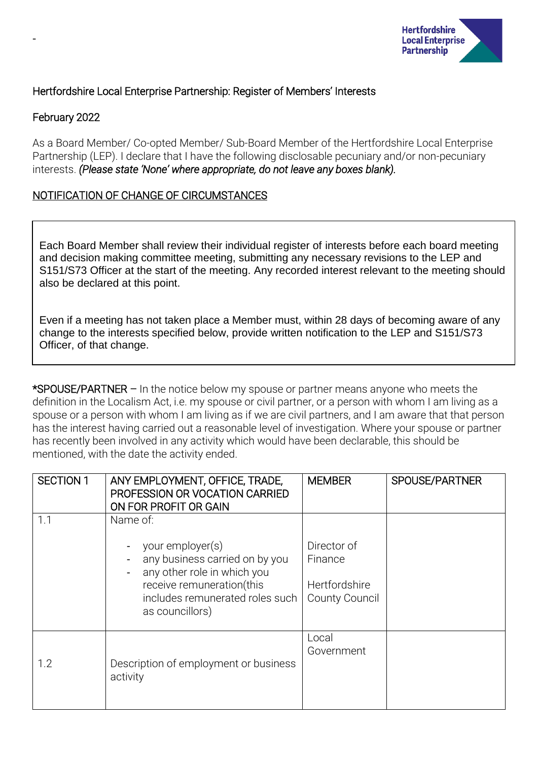

# Hertfordshire Local Enterprise Partnership: Register of Members' Interests

# February 2022

-

As a Board Member/ Co-opted Member/ Sub-Board Member of the Hertfordshire Local Enterprise Partnership (LEP). I declare that I have the following disclosable pecuniary and/or non-pecuniary interests. *(Please state 'None' where appropriate, do not leave any boxes blank).*

# NOTIFICATION OF CHANGE OF CIRCUMSTANCES

Each Board Member shall review their individual register of interests before each board meeting and decision making committee meeting, submitting any necessary revisions to the LEP and S151/S73 Officer at the start of the meeting. Any recorded interest relevant to the meeting should also be declared at this point.

Even if a meeting has not taken place a Member must, within 28 days of becoming aware of any change to the interests specified below, provide written notification to the LEP and S151/S73 Officer, of that change.

\*SPOUSE/PARTNER – In the notice below my spouse or partner means anyone who meets the definition in the Localism Act, i.e. my spouse or civil partner, or a person with whom I am living as a spouse or a person with whom I am living as if we are civil partners, and I am aware that that person has the interest having carried out a reasonable level of investigation. Where your spouse or partner has recently been involved in any activity which would have been declarable, this should be mentioned, with the date the activity ended.

| <b>SECTION 1</b> | ANY EMPLOYMENT, OFFICE, TRADE,<br>PROFESSION OR VOCATION CARRIED<br>ON FOR PROFIT OR GAIN                                                                                        | <b>MEMBER</b>                                                    | SPOUSE/PARTNER |
|------------------|----------------------------------------------------------------------------------------------------------------------------------------------------------------------------------|------------------------------------------------------------------|----------------|
| 1.1              | Name of:<br>your employer(s)<br>any business carried on by you<br>any other role in which you<br>receive remuneration(this<br>includes remunerated roles such<br>as councillors) | Director of<br>Finance<br>Hertfordshire<br><b>County Council</b> |                |
| 1.2              | Description of employment or business<br>activity                                                                                                                                | Local<br>Government                                              |                |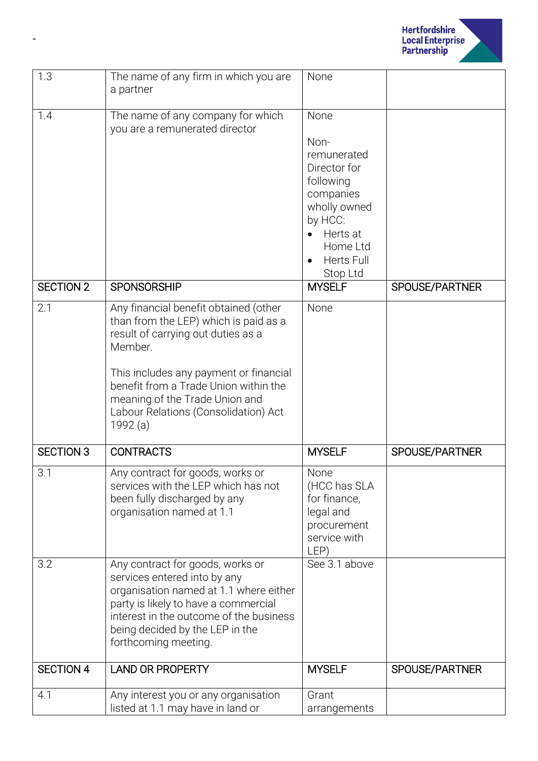

| 1.3              | The name of any firm in which you are<br>a partner                                                                                                                                                                                                                                                       | None                                                                                                                                                      |                |
|------------------|----------------------------------------------------------------------------------------------------------------------------------------------------------------------------------------------------------------------------------------------------------------------------------------------------------|-----------------------------------------------------------------------------------------------------------------------------------------------------------|----------------|
|                  |                                                                                                                                                                                                                                                                                                          |                                                                                                                                                           |                |
| 1.4              | The name of any company for which<br>you are a remunerated director                                                                                                                                                                                                                                      | None<br>Non-<br>remunerated<br>Director for<br>following<br>companies<br>wholly owned<br>by HCC:<br>Herts at<br>Home Ltd<br><b>Herts Full</b><br>Stop Ltd |                |
| <b>SECTION 2</b> | <b>SPONSORSHIP</b>                                                                                                                                                                                                                                                                                       | <b>MYSELF</b>                                                                                                                                             | SPOUSE/PARTNER |
| 2.1              | Any financial benefit obtained (other<br>than from the LEP) which is paid as a<br>result of carrying out duties as a<br>Member.<br>This includes any payment or financial<br>benefit from a Trade Union within the<br>meaning of the Trade Union and<br>Labour Relations (Consolidation) Act<br>1992 (a) | None                                                                                                                                                      |                |
| <b>SECTION 3</b> | <b>CONTRACTS</b>                                                                                                                                                                                                                                                                                         | <b>MYSELF</b>                                                                                                                                             | SPOUSE/PARTNER |
| 3.1              | Any contract for goods, works or<br>services with the LEP which has not<br>been fully discharged by any<br>organisation named at 1.1                                                                                                                                                                     | None<br>(HCC has SLA<br>for finance,<br>legal and<br>procurement<br>service with<br>LEP)                                                                  |                |
| 3.2              | Any contract for goods, works or<br>services entered into by any<br>organisation named at 1.1 where either<br>party is likely to have a commercial<br>interest in the outcome of the business<br>being decided by the LEP in the<br>forthcoming meeting.                                                 | See 3.1 above                                                                                                                                             |                |
| <b>SECTION 4</b> | <b>LAND OR PROPERTY</b>                                                                                                                                                                                                                                                                                  | <b>MYSELF</b>                                                                                                                                             | SPOUSE/PARTNER |
| 4.1              | Any interest you or any organisation<br>listed at 1.1 may have in land or                                                                                                                                                                                                                                | Grant<br>arrangements                                                                                                                                     |                |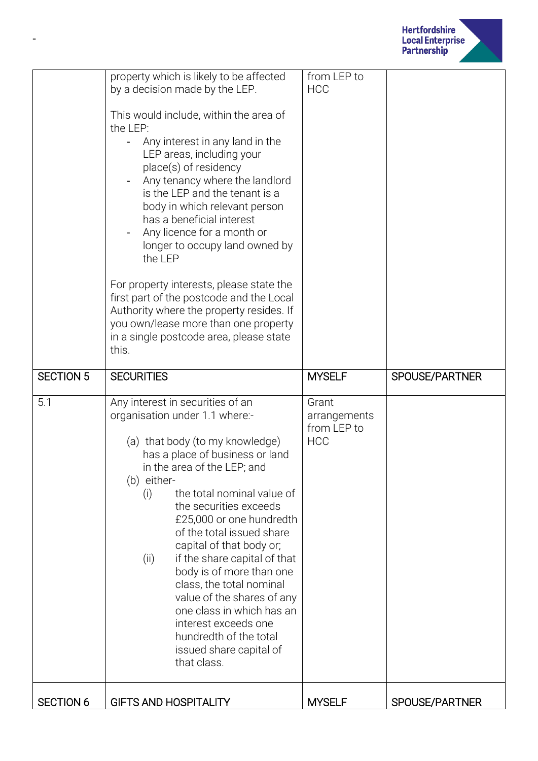

|                  | property which is likely to be affected<br>by a decision made by the LEP.<br>This would include, within the area of<br>the LEP:<br>Any interest in any land in the<br>LEP areas, including your<br>place(s) of residency<br>Any tenancy where the landlord<br>is the LEP and the tenant is a<br>body in which relevant person<br>has a beneficial interest<br>Any licence for a month or<br>longer to occupy land owned by<br>the LEP<br>For property interests, please state the<br>first part of the postcode and the Local<br>Authority where the property resides. If<br>you own/lease more than one property<br>in a single postcode area, please state<br>this. | from LEP to<br><b>HCC</b>                          |                |
|------------------|-----------------------------------------------------------------------------------------------------------------------------------------------------------------------------------------------------------------------------------------------------------------------------------------------------------------------------------------------------------------------------------------------------------------------------------------------------------------------------------------------------------------------------------------------------------------------------------------------------------------------------------------------------------------------|----------------------------------------------------|----------------|
| <b>SECTION 5</b> | <b>SECURITIES</b>                                                                                                                                                                                                                                                                                                                                                                                                                                                                                                                                                                                                                                                     | <b>MYSELF</b>                                      | SPOUSE/PARTNER |
| 5.1              | Any interest in securities of an<br>organisation under 1.1 where:-<br>(a) that body (to my knowledge)<br>has a place of business or land<br>in the area of the LEP; and<br>(b) either-<br>the total nominal value of<br>(i)<br>the securities exceeds<br>£25,000 or one hundredth<br>of the total issued share<br>capital of that body or;<br>if the share capital of that<br>(ii)<br>body is of more than one<br>class, the total nominal<br>value of the shares of any<br>one class in which has an<br>interest exceeds one<br>hundredth of the total<br>issued share capital of<br>that class.                                                                     | Grant<br>arrangements<br>from LEP to<br><b>HCC</b> |                |
| <b>SECTION 6</b> | <b>GIFTS AND HOSPITALITY</b>                                                                                                                                                                                                                                                                                                                                                                                                                                                                                                                                                                                                                                          | <b>MYSELF</b>                                      | SPOUSE/PARTNER |

-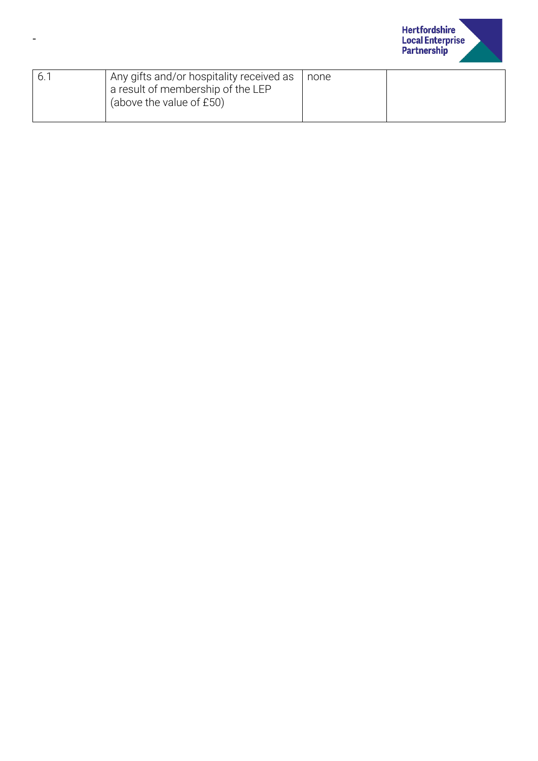

| 6.1 | Any gifts and/or hospitality received as<br>a result of membership of the LEP<br>(above the value of £50) | none |  |
|-----|-----------------------------------------------------------------------------------------------------------|------|--|
|     |                                                                                                           |      |  |

-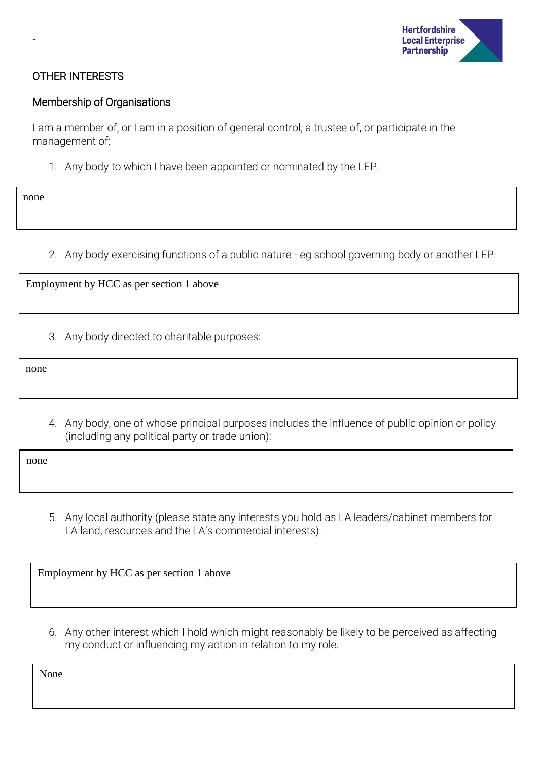

### OTHER INTERESTS

#### Membership of Organisations

I am a member of, or I am in a position of general control, a trustee of, or participate in the management of:

1. Any body to which I have been appointed or nominated by the LEP:

none

-

2. Any body exercising functions of a public nature - eg school governing body or another LEP:

Employment by HCC as per section 1 above

3. Any body directed to charitable purposes:

none

4. Any body, one of whose principal purposes includes the influence of public opinion or policy (including any political party or trade union):

none

5. Any local authority (please state any interests you hold as LA leaders/cabinet members for LA land, resources and the LA's commercial interests):

Employment by HCC as per section 1 above

6. Any other interest which I hold which might reasonably be likely to be perceived as affecting my conduct or influencing my action in relation to my role.

None